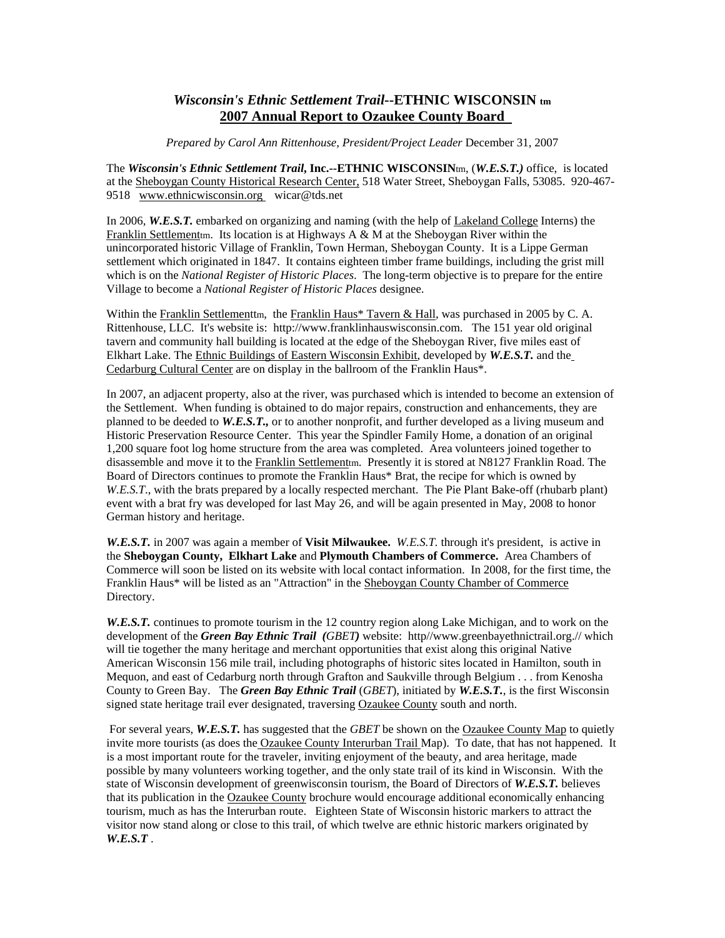## *Wisconsin's Ethnic Settlement Trail***--ETHNIC WISCONSIN tm 2007 Annual Report to Ozaukee County Board**

*Prepared by Carol Ann Rittenhouse, President/Project Leader* December 31, 2007

The *Wisconsin's Ethnic Settlement Trail***, Inc.--ETHNIC WISCONSIN**tm, (*W.E.S.T.)* office, is located at the Sheboygan County Historical Research Center, 518 Water Street, Sheboygan Falls, 53085. 920-467- 9518 www.ethnicwisconsin.org wicar@tds.net

In 2006, *W.E.S.T.* embarked on organizing and naming (with the help of Lakeland College Interns) the Franklin Settlementm. Its location is at Highways  $A \& M$  at the Sheboygan River within the unincorporated historic Village of Franklin, Town Herman, Sheboygan County. It is a Lippe German settlement which originated in 1847. It contains eighteen timber frame buildings, including the grist mill which is on the *National Register of Historic Places*. The long-term objective is to prepare for the entire Village to become a *National Register of Historic Places* designee.

Within the Franklin Settlementtm, the Franklin Haus\* Tavern & Hall, was purchased in 2005 by C. A. Rittenhouse, LLC. It's website is: http://www.franklinhauswisconsin.com. The 151 year old original tavern and community hall building is located at the edge of the Sheboygan River, five miles east of Elkhart Lake. The Ethnic Buildings of Eastern Wisconsin Exhibit, developed by *W.E.S.T.* and the Cedarburg Cultural Center are on display in the ballroom of the Franklin Haus\*.

In 2007, an adjacent property, also at the river, was purchased which is intended to become an extension of the Settlement. When funding is obtained to do major repairs, construction and enhancements, they are planned to be deeded to *W.E.S.T.,* or to another nonprofit, and further developed as a living museum and Historic Preservation Resource Center. This year the Spindler Family Home, a donation of an original 1,200 square foot log home structure from the area was completed. Area volunteers joined together to disassemble and move it to the Franklin Settlementm. Presently it is stored at N8127 Franklin Road. The Board of Directors continues to promote the Franklin Haus\* Brat, the recipe for which is owned by *W.E.S.T*., with the brats prepared by a locally respected merchant. The Pie Plant Bake-off (rhubarb plant) event with a brat fry was developed for last May 26, and will be again presented in May, 2008 to honor German history and heritage.

*W.E.S.T.* in 2007 was again a member of **Visit Milwaukee.** *W.E.S.T.* through it's president, is active in the **Sheboygan County, Elkhart Lake** and **Plymouth Chambers of Commerce.** Area Chambers of Commerce will soon be listed on its website with local contact information. In 2008, for the first time, the Franklin Haus\* will be listed as an "Attraction" in the Sheboygan County Chamber of Commerce Directory.

*W.E.S.T.* continues to promote tourism in the 12 country region along Lake Michigan, and to work on the development of the *Green Bay Ethnic Trail (GBET)* website: http//www.greenbayethnictrail.org.// which will tie together the many heritage and merchant opportunities that exist along this original Native American Wisconsin 156 mile trail, including photographs of historic sites located in Hamilton, south in Mequon, and east of Cedarburg north through Grafton and Saukville through Belgium . . . from Kenosha County to Green Bay. The *Green Bay Ethnic Trail* (*GBET*), initiated by *W.E.S.T.*, is the first Wisconsin signed state heritage trail ever designated, traversing Ozaukee County south and north.

For several years, *W.E.S.T.* has suggested that the *GBET* be shown on the **Ozaukee County Map** to quietly invite more tourists (as does the Ozaukee County Interurban Trail Map). To date, that has not happened. It is a most important route for the traveler, inviting enjoyment of the beauty, and area heritage, made possible by many volunteers working together, and the only state trail of its kind in Wisconsin. With the state of Wisconsin development of greenwisconsin tourism, the Board of Directors of *W.E.S.T.* believes that its publication in the Ozaukee County brochure would encourage additional economically enhancing tourism, much as has the Interurban route. Eighteen State of Wisconsin historic markers to attract the visitor now stand along or close to this trail, of which twelve are ethnic historic markers originated by *W.E.S.T* .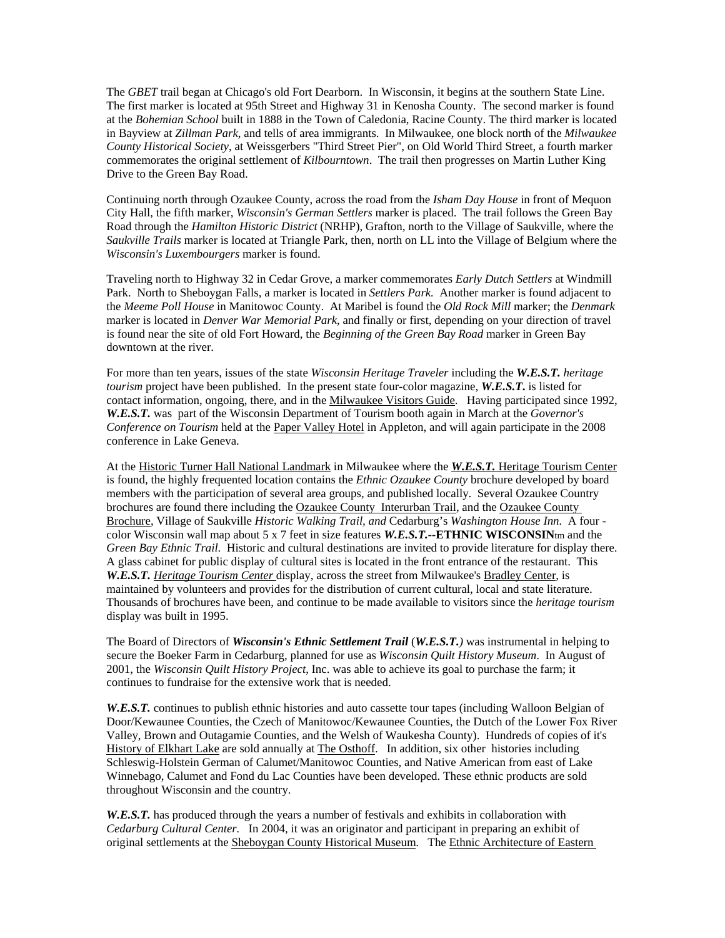The *GBET* trail began at Chicago's old Fort Dearborn. In Wisconsin, it begins at the southern State Line. The first marker is located at 95th Street and Highway 31 in Kenosha County. The second marker is found at the *Bohemian School* built in 1888 in the Town of Caledonia, Racine County. The third marker is located in Bayview at *Zillman Park*, and tells of area immigrants. In Milwaukee, one block north of the *Milwaukee County Historical Society*, at Weissgerbers "Third Street Pier", on Old World Third Street, a fourth marker commemorates the original settlement of *Kilbourntown*. The trail then progresses on Martin Luther King Drive to the Green Bay Road.

Continuing north through Ozaukee County, across the road from the *Isham Day House* in front of Mequon City Hall, the fifth marker, *Wisconsin's German Settlers* marker is placed. The trail follows the Green Bay Road through the *Hamilton Historic District* (NRHP), Grafton, north to the Village of Saukville, where the *Saukville Trails* marker is located at Triangle Park, then, north on LL into the Village of Belgium where the *Wisconsin's Luxembourgers* marker is found.

Traveling north to Highway 32 in Cedar Grove, a marker commemorates *Early Dutch Settlers* at Windmill Park. North to Sheboygan Falls, a marker is located in *Settlers Park.* Another marker is found adjacent to the *Meeme Poll House* in Manitowoc County. At Maribel is found the *Old Rock Mill* marker; the *Denmark*  marker is located in *Denver War Memorial Park*, and finally or first, depending on your direction of travel is found near the site of old Fort Howard, the *Beginning of the Green Bay Road* marker in Green Bay downtown at the river.

For more than ten years, issues of the state *Wisconsin Heritage Traveler* including the *W.E.S.T. heritage tourism* project have been published. In the present state four-color magazine, *W.E.S.T***.** is listed for contact information, ongoing, there, and in the Milwaukee Visitors Guide. Having participated since 1992, *W.E.S.T.* was part of the Wisconsin Department of Tourism booth again in March at the *Governor's Conference on Tourism* held at the Paper Valley Hotel in Appleton, and will again participate in the 2008 conference in Lake Geneva.

At the Historic Turner Hall National Landmark in Milwaukee where the *W.E.S.T.* Heritage Tourism Center is found, the highly frequented location contains the *Ethnic Ozaukee County* brochure developed by board members with the participation of several area groups, and published locally. Several Ozaukee Country brochures are found there including the Ozaukee County Interurban Trail, and the Ozaukee County Brochure, Village of Saukville *Historic Walking Trail, and* Cedarburg's *Washington House Inn.* A four color Wisconsin wall map about 5 x 7 feet in size features *W.E.S.T.--***ETHNIC WISCONSIN**tm and the *Green Bay Ethnic Trail*. Historic and cultural destinations are invited to provide literature for display there. A glass cabinet for public display of cultural sites is located in the front entrance of the restaurant. This *W.E.S.T. Heritage Tourism Center* display, across the street from Milwaukee's Bradley Center, is maintained by volunteers and provides for the distribution of current cultural, local and state literature. Thousands of brochures have been, and continue to be made available to visitors since the *heritage tourism* display was built in 1995.

The Board of Directors of *Wisconsin's Ethnic Settlement Trail* (*W.E.S.T.)* was instrumental in helping to secure the Boeker Farm in Cedarburg, planned for use as *Wisconsin Quilt History Museum*. In August of 2001, the *Wisconsin Quilt History Project*, Inc. was able to achieve its goal to purchase the farm; it continues to fundraise for the extensive work that is needed.

*W.E.S.T.* continues to publish ethnic histories and auto cassette tour tapes (including Walloon Belgian of Door/Kewaunee Counties, the Czech of Manitowoc/Kewaunee Counties, the Dutch of the Lower Fox River Valley, Brown and Outagamie Counties, and the Welsh of Waukesha County). Hundreds of copies of it's History of Elkhart Lake are sold annually at The Osthoff. In addition, six other histories including Schleswig-Holstein German of Calumet/Manitowoc Counties, and Native American from east of Lake Winnebago, Calumet and Fond du Lac Counties have been developed. These ethnic products are sold throughout Wisconsin and the country.

*W.E.S.T.* has produced through the years a number of festivals and exhibits in collaboration with *Cedarburg Cultural Center.* In 2004, it was an originator and participant in preparing an exhibit of original settlements at the Sheboygan County Historical Museum. The Ethnic Architecture of Eastern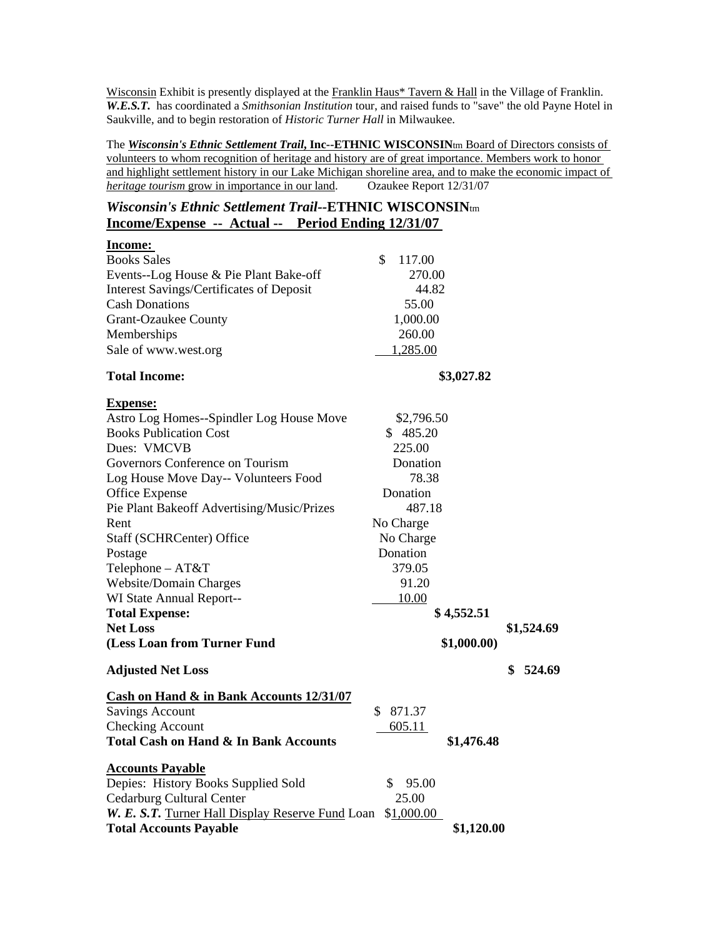Wisconsin Exhibit is presently displayed at the Franklin Haus\* Tavern & Hall in the Village of Franklin. *W.E.S.T.* has coordinated a *Smithsonian Institution* tour, and raised funds to "save" the old Payne Hotel in Saukville, and to begin restoration of *Historic Turner Hall* in Milwaukee.

The *Wisconsin's Ethnic Settlement Trail***, Inc--ETHNIC WISCONSIN**tm Board of Directors consists of volunteers to whom recognition of heritage and history are of great importance. Members work to honor and highlight settlement history in our Lake Michigan shoreline area, and to make the economic impact of *heritage tourism* grow in importance in our land. Ozaukee Report 12/31/07

## *Wisconsin's Ethnic Settlement Trail--***ETHNIC WISCONSIN**tm **Income/Expense -- Actual -- Period Ending 12/31/07**

| Income:                                             |              |             |              |  |
|-----------------------------------------------------|--------------|-------------|--------------|--|
| <b>Books Sales</b>                                  | \$<br>117.00 |             |              |  |
| Events--Log House & Pie Plant Bake-off              | 270.00       |             |              |  |
| <b>Interest Savings/Certificates of Deposit</b>     | 44.82        |             |              |  |
| <b>Cash Donations</b>                               | 55.00        |             |              |  |
| <b>Grant-Ozaukee County</b>                         | 1,000.00     |             |              |  |
| Memberships                                         | 260.00       |             |              |  |
| Sale of www.west.org                                | 1,285.00     |             |              |  |
| <b>Total Income:</b>                                | \$3,027.82   |             |              |  |
| <b>Expense:</b>                                     |              |             |              |  |
| Astro Log Homes--Spindler Log House Move            | \$2,796.50   |             |              |  |
| <b>Books Publication Cost</b>                       | \$485.20     |             |              |  |
| Dues: VMCVB                                         | 225.00       |             |              |  |
| Governors Conference on Tourism                     | Donation     |             |              |  |
| Log House Move Day-- Volunteers Food                | 78.38        |             |              |  |
| <b>Office Expense</b>                               | Donation     |             |              |  |
| Pie Plant Bakeoff Advertising/Music/Prizes          | 487.18       |             |              |  |
| Rent                                                | No Charge    |             |              |  |
| Staff (SCHRCenter) Office                           | No Charge    |             |              |  |
| Postage                                             | Donation     |             |              |  |
| Telephone - AT&T                                    | 379.05       |             |              |  |
| Website/Domain Charges                              | 91.20        |             |              |  |
| WI State Annual Report--                            | 10.00        |             |              |  |
| <b>Total Expense:</b>                               |              | \$4,552.51  |              |  |
| <b>Net Loss</b>                                     |              |             | \$1,524.69   |  |
| (Less Loan from Turner Fund                         |              | \$1,000.00) |              |  |
| <b>Adjusted Net Loss</b>                            |              |             | 524.69<br>\$ |  |
| <b>Cash on Hand &amp; in Bank Accounts 12/31/07</b> |              |             |              |  |
| <b>Savings Account</b>                              | 871.37<br>\$ |             |              |  |
| <b>Checking Account</b>                             | 605.11       |             |              |  |
| <b>Total Cash on Hand &amp; In Bank Accounts</b>    |              | \$1,476.48  |              |  |
| <b>Accounts Payable</b>                             |              |             |              |  |
| Depies: History Books Supplied Sold                 | S.<br>95.00  |             |              |  |
| <b>Cedarburg Cultural Center</b>                    | 25.00        |             |              |  |
| W. E. S.T. Turner Hall Display Reserve Fund Loan    | \$1,000.00   |             |              |  |
| <b>Total Accounts Payable</b>                       |              | \$1,120.00  |              |  |